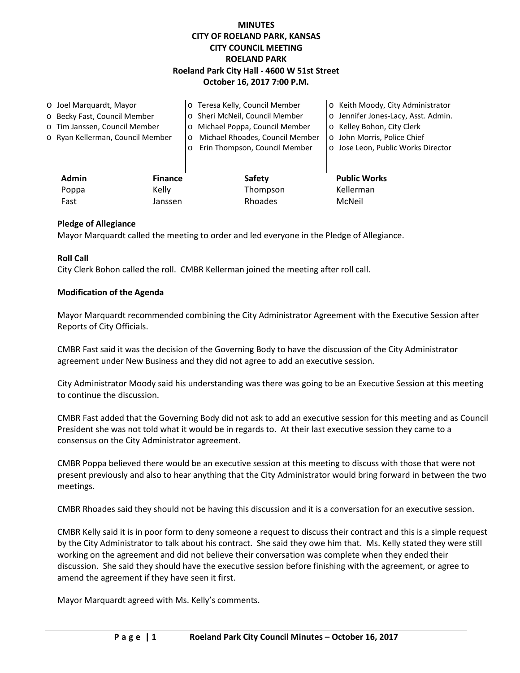# **MINUTES CITY OF ROELAND PARK, KANSAS CITY COUNCIL MEETING ROELAND PARK Roeland Park City Hall - 4600 W 51st Street October 16, 2017 7:00 P.M.**

| O Joel Marquardt, Mayor       |                                  |                | o Teresa Kelly, Council Member             | o Keith Moody, City Administrator   |
|-------------------------------|----------------------------------|----------------|--------------------------------------------|-------------------------------------|
| o Becky Fast, Council Member  |                                  |                | o Sheri McNeil, Council Member             | o Jennifer Jones-Lacy, Asst. Admin. |
| o Tim Janssen, Council Member |                                  |                | o Michael Poppa, Council Member            | o Kelley Bohon, City Clerk          |
|                               | o Ryan Kellerman, Council Member |                | Michael Rhoades, Council Member<br>$\circ$ | o John Morris, Police Chief         |
|                               |                                  |                | Erin Thompson, Council Member<br>$\circ$   | o Jose Leon, Public Works Director  |
|                               |                                  |                |                                            |                                     |
|                               | <b>Admin</b>                     | <b>Finance</b> | Safety                                     | <b>Public Works</b>                 |
|                               | Poppa                            | Kelly          | Thompson                                   | Kellerman                           |
|                               | Fast                             | Janssen        | Rhoades                                    | McNeil                              |

## **Pledge of Allegiance**

Mayor Marquardt called the meeting to order and led everyone in the Pledge of Allegiance.

#### **Roll Call**

City Clerk Bohon called the roll. CMBR Kellerman joined the meeting after roll call.

#### **Modification of the Agenda**

Mayor Marquardt recommended combining the City Administrator Agreement with the Executive Session after Reports of City Officials.

CMBR Fast said it was the decision of the Governing Body to have the discussion of the City Administrator agreement under New Business and they did not agree to add an executive session.

City Administrator Moody said his understanding was there was going to be an Executive Session at this meeting to continue the discussion.

CMBR Fast added that the Governing Body did not ask to add an executive session for this meeting and as Council President she was not told what it would be in regards to. At their last executive session they came to a consensus on the City Administrator agreement.

CMBR Poppa believed there would be an executive session at this meeting to discuss with those that were not present previously and also to hear anything that the City Administrator would bring forward in between the two meetings.

CMBR Rhoades said they should not be having this discussion and it is a conversation for an executive session.

CMBR Kelly said it is in poor form to deny someone a request to discuss their contract and this is a simple request by the City Administrator to talk about his contract. She said they owe him that. Ms. Kelly stated they were still working on the agreement and did not believe their conversation was complete when they ended their discussion. She said they should have the executive session before finishing with the agreement, or agree to amend the agreement if they have seen it first.

Mayor Marquardt agreed with Ms. Kelly's comments.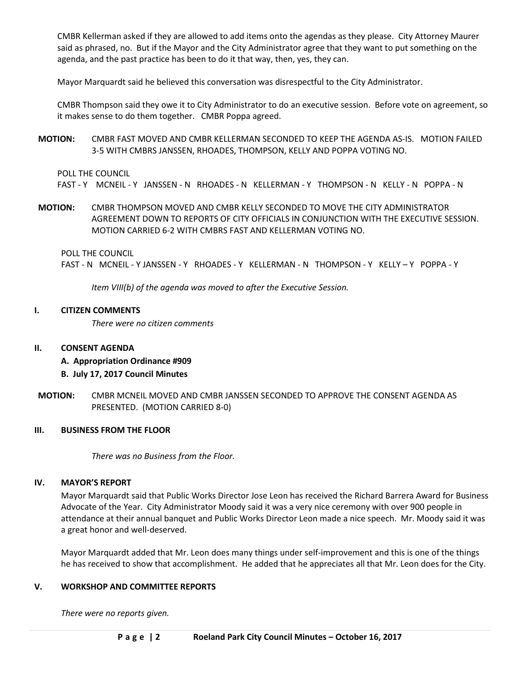CMBR Kellerman asked if they are allowed to add items onto the agendas as they please. City Attorney Maurer said as phrased, no. But if the Mayor and the City Administrator agree that they want to put something on the agenda, and the past practice has been to do it that way, then, yes, they can.

Mayor Marquardt said he believed this conversation was disrespectful to the City Administrator.

CMBR Thompson said they owe it to City Administrator to do an executive session. Before vote on agreement, so it makes sense to do them together. CMBR Poppa agreed.

**MOTION:** CMBR FAST MOVED AND CMBR KELLERMAN SECONDED TO KEEP THE AGENDA AS-IS. MOTION FAILED 3-5 WITH CMBRS JANSSEN, RHOADES, THOMPSON, KELLY AND POPPA VOTING NO.

#### POLL THE COUNCIL

FAST - Y MCNEIL - Y JANSSEN - N RHOADES - N KELLERMAN - Y THOMPSON - N KELLY - N POPPA - N

**MOTION:** CMBR THOMPSON MOVED AND CMBR KELLY SECONDED TO MOVE THE CITY ADMINISTRATOR AGREEMENT DOWN TO REPORTS OF CITY OFFICIALS IN CONJUNCTION WITH THE EXECUTIVE SESSION. MOTION CARRIED 6-2 WITH CMBRS FAST AND KELLERMAN VOTING NO.

POLL THE COUNCIL

FAST - N MCNEIL - Y JANSSEN - Y RHOADES - Y KELLERMAN - N THOMPSON - Y KELLY – Y POPPA - Y

*Item VIII(b) of the agenda was moved to after the Executive Session.* 

#### **I. CITIZEN COMMENTS**

*There were no citizen comments*

## **II. CONSENT AGENDA**

**A. Appropriation Ordinance #909**

## **B. July 17, 2017 Council Minutes**

**MOTION:** CMBR MCNEIL MOVED AND CMBR JANSSEN SECONDED TO APPROVE THE CONSENT AGENDA AS PRESENTED. (MOTION CARRIED 8-0)

# **III. BUSINESS FROM THE FLOOR**

*There was no Business from the Floor.* 

## **IV. MAYOR'S REPORT**

Mayor Marquardt said that Public Works Director Jose Leon has received the Richard Barrera Award for Business Advocate of the Year. City Administrator Moody said it was a very nice ceremony with over 900 people in attendance at their annual banquet and Public Works Director Leon made a nice speech. Mr. Moody said it was a great honor and well-deserved.

Mayor Marquardt added that Mr. Leon does many things under self-improvement and this is one of the things he has received to show that accomplishment. He added that he appreciates all that Mr. Leon does for the City.

## **V. WORKSHOP AND COMMITTEE REPORTS**

*There were no reports given.*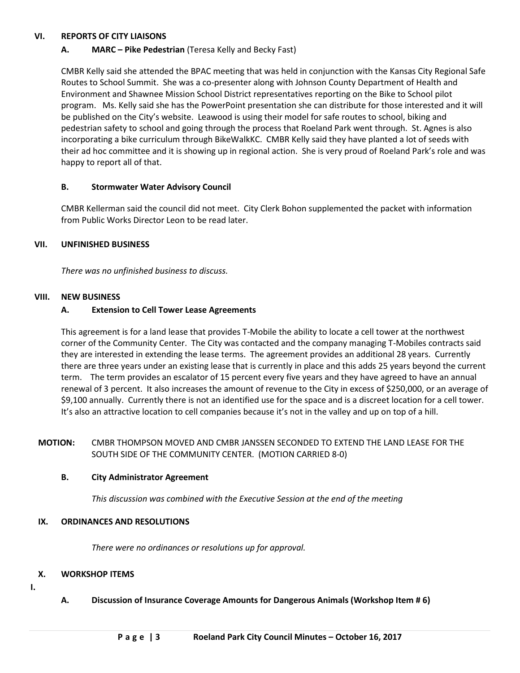## **VI. REPORTS OF CITY LIAISONS**

# **A. MARC – Pike Pedestrian** (Teresa Kelly and Becky Fast)

CMBR Kelly said she attended the BPAC meeting that was held in conjunction with the Kansas City Regional Safe Routes to School Summit. She was a co-presenter along with Johnson County Department of Health and Environment and Shawnee Mission School District representatives reporting on the Bike to School pilot program. Ms. Kelly said she has the PowerPoint presentation she can distribute for those interested and it will be published on the City's website. Leawood is using their model for safe routes to school, biking and pedestrian safety to school and going through the process that Roeland Park went through. St. Agnes is also incorporating a bike curriculum through BikeWalkKC. CMBR Kelly said they have planted a lot of seeds with their ad hoc committee and it is showing up in regional action. She is very proud of Roeland Park's role and was happy to report all of that.

## **B. Stormwater Water Advisory Council**

CMBR Kellerman said the council did not meet. City Clerk Bohon supplemented the packet with information from Public Works Director Leon to be read later.

## **VII. UNFINISHED BUSINESS**

*There was no unfinished business to discuss.*

#### **VIII. NEW BUSINESS**

## **A. Extension to Cell Tower Lease Agreements**

This agreement is for a land lease that provides T-Mobile the ability to locate a cell tower at the northwest corner of the Community Center. The City was contacted and the company managing T-Mobiles contracts said they are interested in extending the lease terms. The agreement provides an additional 28 years. Currently there are three years under an existing lease that is currently in place and this adds 25 years beyond the current term. The term provides an escalator of 15 percent every five years and they have agreed to have an annual renewal of 3 percent. It also increases the amount of revenue to the City in excess of \$250,000, or an average of \$9,100 annually. Currently there is not an identified use for the space and is a discreet location for a cell tower. It's also an attractive location to cell companies because it's not in the valley and up on top of a hill.

# **MOTION:** CMBR THOMPSON MOVED AND CMBR JANSSEN SECONDED TO EXTEND THE LAND LEASE FOR THE SOUTH SIDE OF THE COMMUNITY CENTER. (MOTION CARRIED 8-0)

## **B. City Administrator Agreement**

*This discussion was combined with the Executive Session at the end of the meeting*

## **IX. ORDINANCES AND RESOLUTIONS**

*There were no ordinances or resolutions up for approval.* 

## **X. WORKSHOP ITEMS**

- **I.**
- **A. Discussion of Insurance Coverage Amounts for Dangerous Animals (Workshop Item # 6)**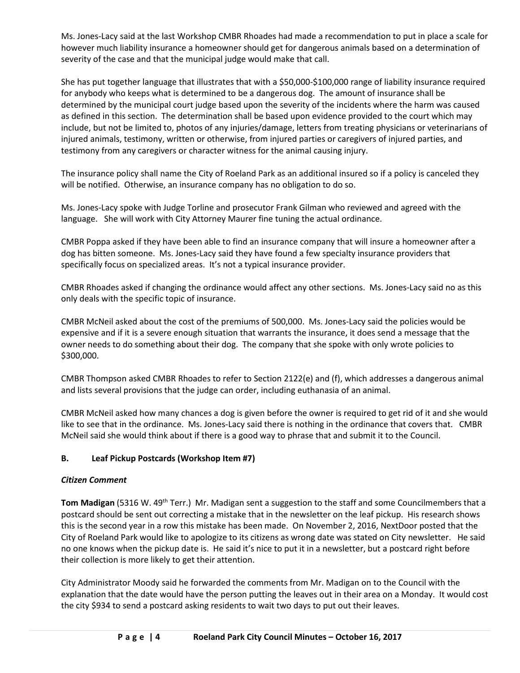Ms. Jones-Lacy said at the last Workshop CMBR Rhoades had made a recommendation to put in place a scale for however much liability insurance a homeowner should get for dangerous animals based on a determination of severity of the case and that the municipal judge would make that call.

She has put together language that illustrates that with a \$50,000-\$100,000 range of liability insurance required for anybody who keeps what is determined to be a dangerous dog. The amount of insurance shall be determined by the municipal court judge based upon the severity of the incidents where the harm was caused as defined in this section. The determination shall be based upon evidence provided to the court which may include, but not be limited to, photos of any injuries/damage, letters from treating physicians or veterinarians of injured animals, testimony, written or otherwise, from injured parties or caregivers of injured parties, and testimony from any caregivers or character witness for the animal causing injury.

The insurance policy shall name the City of Roeland Park as an additional insured so if a policy is canceled they will be notified. Otherwise, an insurance company has no obligation to do so.

Ms. Jones-Lacy spoke with Judge Torline and prosecutor Frank Gilman who reviewed and agreed with the language. She will work with City Attorney Maurer fine tuning the actual ordinance.

CMBR Poppa asked if they have been able to find an insurance company that will insure a homeowner after a dog has bitten someone. Ms. Jones-Lacy said they have found a few specialty insurance providers that specifically focus on specialized areas. It's not a typical insurance provider.

CMBR Rhoades asked if changing the ordinance would affect any other sections. Ms. Jones-Lacy said no as this only deals with the specific topic of insurance.

CMBR McNeil asked about the cost of the premiums of 500,000. Ms. Jones-Lacy said the policies would be expensive and if it is a severe enough situation that warrants the insurance, it does send a message that the owner needs to do something about their dog. The company that she spoke with only wrote policies to \$300,000.

CMBR Thompson asked CMBR Rhoades to refer to Section 2122(e) and (f), which addresses a dangerous animal and lists several provisions that the judge can order, including euthanasia of an animal.

CMBR McNeil asked how many chances a dog is given before the owner is required to get rid of it and she would like to see that in the ordinance. Ms. Jones-Lacy said there is nothing in the ordinance that covers that. CMBR McNeil said she would think about if there is a good way to phrase that and submit it to the Council.

# **B. Leaf Pickup Postcards (Workshop Item #7)**

# *Citizen Comment*

**Tom Madigan** (5316 W. 49<sup>th</sup> Terr.) Mr. Madigan sent a suggestion to the staff and some Councilmembers that a postcard should be sent out correcting a mistake that in the newsletter on the leaf pickup. His research shows this is the second year in a row this mistake has been made. On November 2, 2016, NextDoor posted that the City of Roeland Park would like to apologize to its citizens as wrong date was stated on City newsletter. He said no one knows when the pickup date is. He said it's nice to put it in a newsletter, but a postcard right before their collection is more likely to get their attention.

City Administrator Moody said he forwarded the comments from Mr. Madigan on to the Council with the explanation that the date would have the person putting the leaves out in their area on a Monday. It would cost the city \$934 to send a postcard asking residents to wait two days to put out their leaves.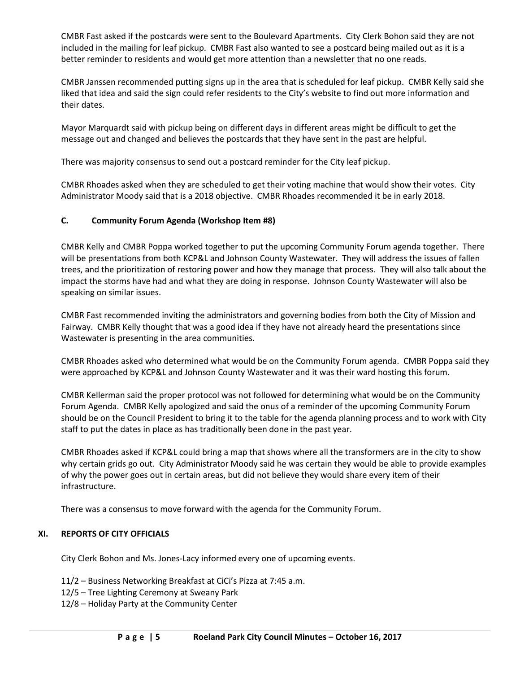CMBR Fast asked if the postcards were sent to the Boulevard Apartments. City Clerk Bohon said they are not included in the mailing for leaf pickup. CMBR Fast also wanted to see a postcard being mailed out as it is a better reminder to residents and would get more attention than a newsletter that no one reads.

CMBR Janssen recommended putting signs up in the area that is scheduled for leaf pickup. CMBR Kelly said she liked that idea and said the sign could refer residents to the City's website to find out more information and their dates.

Mayor Marquardt said with pickup being on different days in different areas might be difficult to get the message out and changed and believes the postcards that they have sent in the past are helpful.

There was majority consensus to send out a postcard reminder for the City leaf pickup.

CMBR Rhoades asked when they are scheduled to get their voting machine that would show their votes. City Administrator Moody said that is a 2018 objective. CMBR Rhoades recommended it be in early 2018.

## **C. Community Forum Agenda (Workshop Item #8)**

CMBR Kelly and CMBR Poppa worked together to put the upcoming Community Forum agenda together. There will be presentations from both KCP&L and Johnson County Wastewater. They will address the issues of fallen trees, and the prioritization of restoring power and how they manage that process. They will also talk about the impact the storms have had and what they are doing in response. Johnson County Wastewater will also be speaking on similar issues.

CMBR Fast recommended inviting the administrators and governing bodies from both the City of Mission and Fairway. CMBR Kelly thought that was a good idea if they have not already heard the presentations since Wastewater is presenting in the area communities.

CMBR Rhoades asked who determined what would be on the Community Forum agenda. CMBR Poppa said they were approached by KCP&L and Johnson County Wastewater and it was their ward hosting this forum.

CMBR Kellerman said the proper protocol was not followed for determining what would be on the Community Forum Agenda. CMBR Kelly apologized and said the onus of a reminder of the upcoming Community Forum should be on the Council President to bring it to the table for the agenda planning process and to work with City staff to put the dates in place as has traditionally been done in the past year.

CMBR Rhoades asked if KCP&L could bring a map that shows where all the transformers are in the city to show why certain grids go out. City Administrator Moody said he was certain they would be able to provide examples of why the power goes out in certain areas, but did not believe they would share every item of their infrastructure.

There was a consensus to move forward with the agenda for the Community Forum.

## **XI. REPORTS OF CITY OFFICIALS**

City Clerk Bohon and Ms. Jones-Lacy informed every one of upcoming events.

- 11/2 Business Networking Breakfast at CiCi's Pizza at 7:45 a.m.
- 12/5 Tree Lighting Ceremony at Sweany Park
- 12/8 Holiday Party at the Community Center